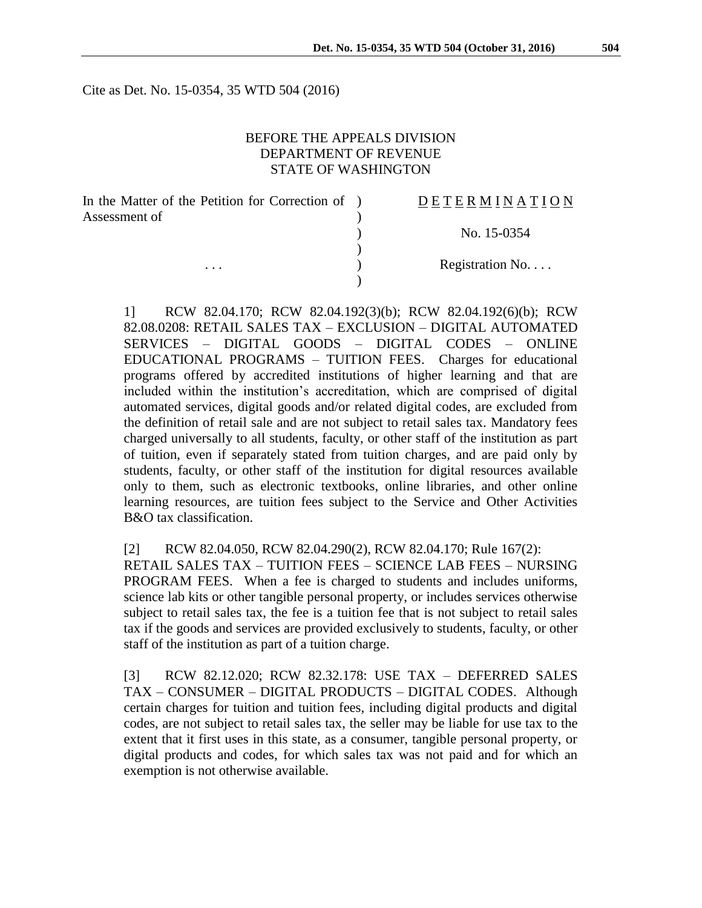Cite as Det. No. 15-0354, 35 WTD 504 (2016)

#### BEFORE THE APPEALS DIVISION DEPARTMENT OF REVENUE STATE OF WASHINGTON

| In the Matter of the Petition for Correction of ) | <b>DETERMINATION</b> |
|---------------------------------------------------|----------------------|
| Assessment of                                     |                      |
|                                                   | No. 15-0354          |
|                                                   |                      |
| $\cdots$                                          | Registration No      |
|                                                   |                      |

1] RCW 82.04.170; RCW 82.04.192(3)(b); RCW 82.04.192(6)(b); RCW 82.08.0208: RETAIL SALES TAX – EXCLUSION – DIGITAL AUTOMATED SERVICES – DIGITAL GOODS – DIGITAL CODES – ONLINE EDUCATIONAL PROGRAMS – TUITION FEES. Charges for educational programs offered by accredited institutions of higher learning and that are included within the institution's accreditation, which are comprised of digital automated services, digital goods and/or related digital codes, are excluded from the definition of retail sale and are not subject to retail sales tax. Mandatory fees charged universally to all students, faculty, or other staff of the institution as part of tuition, even if separately stated from tuition charges, and are paid only by students, faculty, or other staff of the institution for digital resources available only to them, such as electronic textbooks, online libraries, and other online learning resources, are tuition fees subject to the Service and Other Activities B&O tax classification.

[2] RCW 82.04.050, RCW 82.04.290(2), RCW 82.04.170; Rule 167(2):

RETAIL SALES TAX – TUITION FEES – SCIENCE LAB FEES – NURSING PROGRAM FEES. When a fee is charged to students and includes uniforms, science lab kits or other tangible personal property, or includes services otherwise subject to retail sales tax, the fee is a tuition fee that is not subject to retail sales tax if the goods and services are provided exclusively to students, faculty, or other staff of the institution as part of a tuition charge.

[3] RCW 82.12.020; RCW 82.32.178: USE TAX – DEFERRED SALES TAX – CONSUMER – DIGITAL PRODUCTS – DIGITAL CODES. Although certain charges for tuition and tuition fees, including digital products and digital codes, are not subject to retail sales tax, the seller may be liable for use tax to the extent that it first uses in this state, as a consumer, tangible personal property, or digital products and codes, for which sales tax was not paid and for which an exemption is not otherwise available.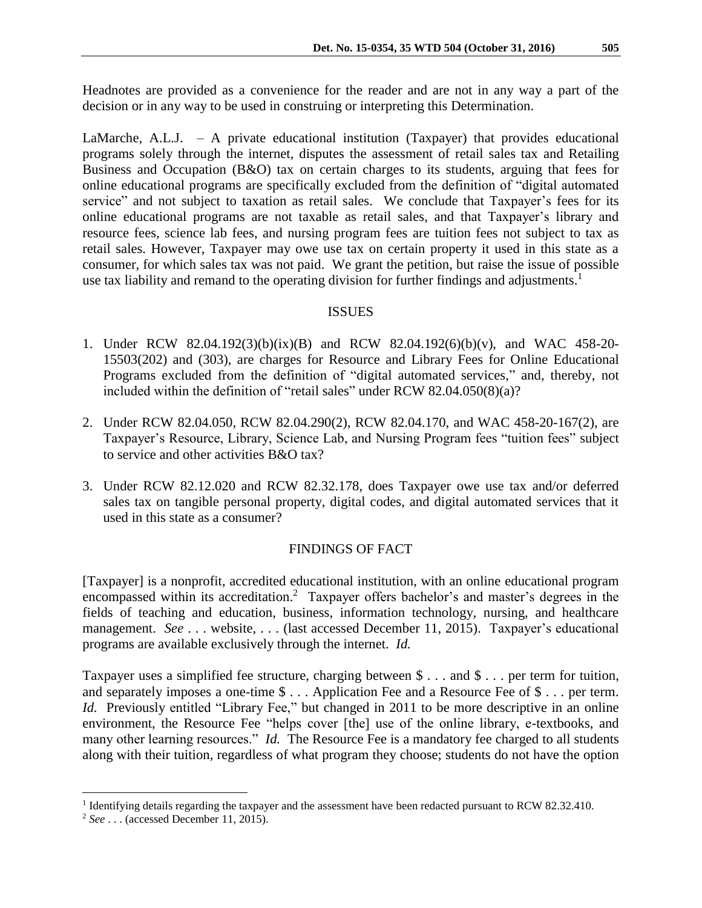Headnotes are provided as a convenience for the reader and are not in any way a part of the decision or in any way to be used in construing or interpreting this Determination.

LaMarche, A.L.J.  $-$  A private educational institution (Taxpayer) that provides educational programs solely through the internet, disputes the assessment of retail sales tax and Retailing Business and Occupation (B&O) tax on certain charges to its students, arguing that fees for online educational programs are specifically excluded from the definition of "digital automated service" and not subject to taxation as retail sales. We conclude that Taxpayer's fees for its online educational programs are not taxable as retail sales, and that Taxpayer's library and resource fees, science lab fees, and nursing program fees are tuition fees not subject to tax as retail sales. However, Taxpayer may owe use tax on certain property it used in this state as a consumer, for which sales tax was not paid. We grant the petition, but raise the issue of possible use tax liability and remand to the operating division for further findings and adjustments.<sup>1</sup>

### ISSUES

- 1. Under RCW 82.04.192(3)(b)(ix)(B) and RCW 82.04.192(6)(b)(v), and WAC 458-20- 15503(202) and (303), are charges for Resource and Library Fees for Online Educational Programs excluded from the definition of "digital automated services," and, thereby, not included within the definition of "retail sales" under RCW 82.04.050(8)(a)?
- 2. Under RCW 82.04.050, RCW 82.04.290(2), RCW 82.04.170, and WAC 458-20-167(2), are Taxpayer's Resource, Library, Science Lab, and Nursing Program fees "tuition fees" subject to service and other activities B&O tax?
- 3. Under RCW 82.12.020 and RCW 82.32.178, does Taxpayer owe use tax and/or deferred sales tax on tangible personal property, digital codes, and digital automated services that it used in this state as a consumer?

# FINDINGS OF FACT

[Taxpayer] is a nonprofit, accredited educational institution, with an online educational program encompassed within its accreditation.<sup>2</sup> Taxpayer offers bachelor's and master's degrees in the fields of teaching and education, business, information technology, nursing, and healthcare management. *See* . . . website, . . . (last accessed December 11, 2015). Taxpayer's educational programs are available exclusively through the internet. *Id.*

Taxpayer uses a simplified fee structure, charging between \$ . . . and \$ . . . per term for tuition, and separately imposes a one-time \$ . . . Application Fee and a Resource Fee of \$ . . . per term. *Id.* Previously entitled "Library Fee," but changed in 2011 to be more descriptive in an online environment, the Resource Fee "helps cover [the] use of the online library, e-textbooks, and many other learning resources." *Id.* The Resource Fee is a mandatory fee charged to all students along with their tuition, regardless of what program they choose; students do not have the option

 $\overline{a}$ 

<sup>&</sup>lt;sup>1</sup> Identifying details regarding the taxpayer and the assessment have been redacted pursuant to RCW 82.32.410.

<sup>2</sup> *See* . . . (accessed December 11, 2015).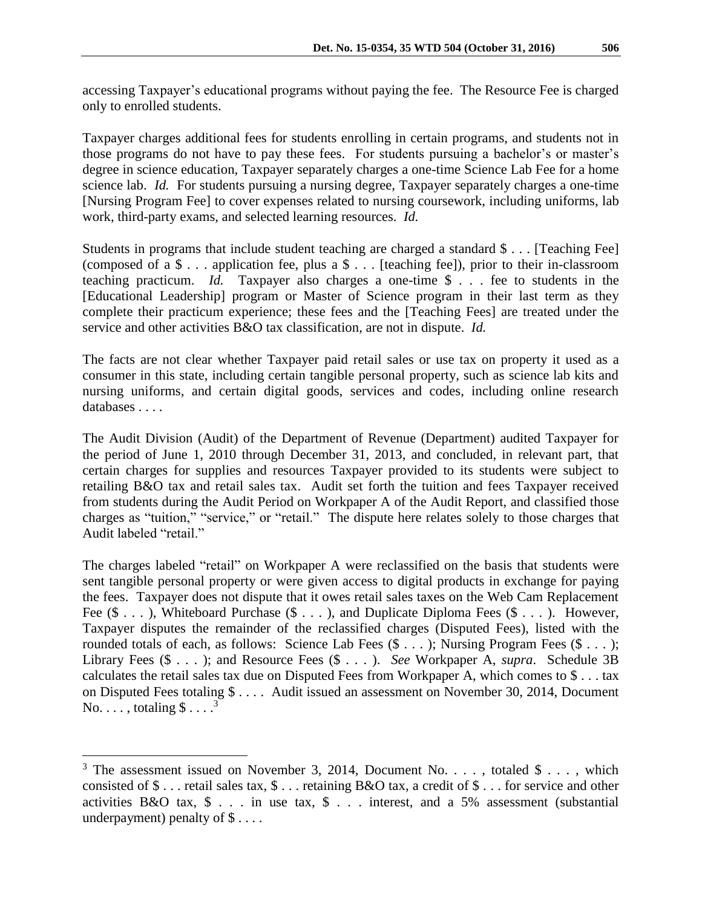accessing Taxpayer's educational programs without paying the fee. The Resource Fee is charged only to enrolled students.

Taxpayer charges additional fees for students enrolling in certain programs, and students not in those programs do not have to pay these fees. For students pursuing a bachelor's or master's degree in science education, Taxpayer separately charges a one-time Science Lab Fee for a home science lab. *Id.* For students pursuing a nursing degree, Taxpayer separately charges a one-time [Nursing Program Fee] to cover expenses related to nursing coursework, including uniforms, lab work, third-party exams, and selected learning resources. *Id.*

Students in programs that include student teaching are charged a standard \$ . . . [Teaching Fee] (composed of a \$ . . . application fee, plus a \$ . . . [teaching fee]), prior to their in-classroom teaching practicum. *Id.* Taxpayer also charges a one-time \$ . . . fee to students in the [Educational Leadership] program or Master of Science program in their last term as they complete their practicum experience; these fees and the [Teaching Fees] are treated under the service and other activities B&O tax classification, are not in dispute. *Id.*

The facts are not clear whether Taxpayer paid retail sales or use tax on property it used as a consumer in this state, including certain tangible personal property, such as science lab kits and nursing uniforms, and certain digital goods, services and codes, including online research databases . . . . .

The Audit Division (Audit) of the Department of Revenue (Department) audited Taxpayer for the period of June 1, 2010 through December 31, 2013, and concluded, in relevant part, that certain charges for supplies and resources Taxpayer provided to its students were subject to retailing B&O tax and retail sales tax. Audit set forth the tuition and fees Taxpayer received from students during the Audit Period on Workpaper A of the Audit Report, and classified those charges as "tuition," "service," or "retail." The dispute here relates solely to those charges that Audit labeled "retail."

The charges labeled "retail" on Workpaper A were reclassified on the basis that students were sent tangible personal property or were given access to digital products in exchange for paying the fees. Taxpayer does not dispute that it owes retail sales taxes on the Web Cam Replacement Fee  $(\$ \dots)$ , Whiteboard Purchase  $(\$ \dots)$ , and Duplicate Diploma Fees  $(\$ \dots)$ . However, Taxpayer disputes the remainder of the reclassified charges (Disputed Fees), listed with the rounded totals of each, as follows: Science Lab Fees  $(\$ \dots)$ ; Nursing Program Fees  $(\$ \dots)$ ; Library Fees (\$ . . . ); and Resource Fees (\$ . . . ). *See* Workpaper A, *supra*. Schedule 3B calculates the retail sales tax due on Disputed Fees from Workpaper A, which comes to \$ . . . tax on Disputed Fees totaling \$ . . . . Audit issued an assessment on November 30, 2014, Document No.  $\dots$ , totaling  $\$\dots^3$ 

 $\overline{a}$ 

 $3$  The assessment issued on November 3, 2014, Document No. . . . , totaled \$ . . . , which consisted of \$ . . . retail sales tax, \$ . . . retaining B&O tax, a credit of \$ . . . for service and other activities B&O tax, \$ . . . in use tax, \$ . . . interest, and a 5% assessment (substantial underpayment) penalty of  $\$\ldots$ .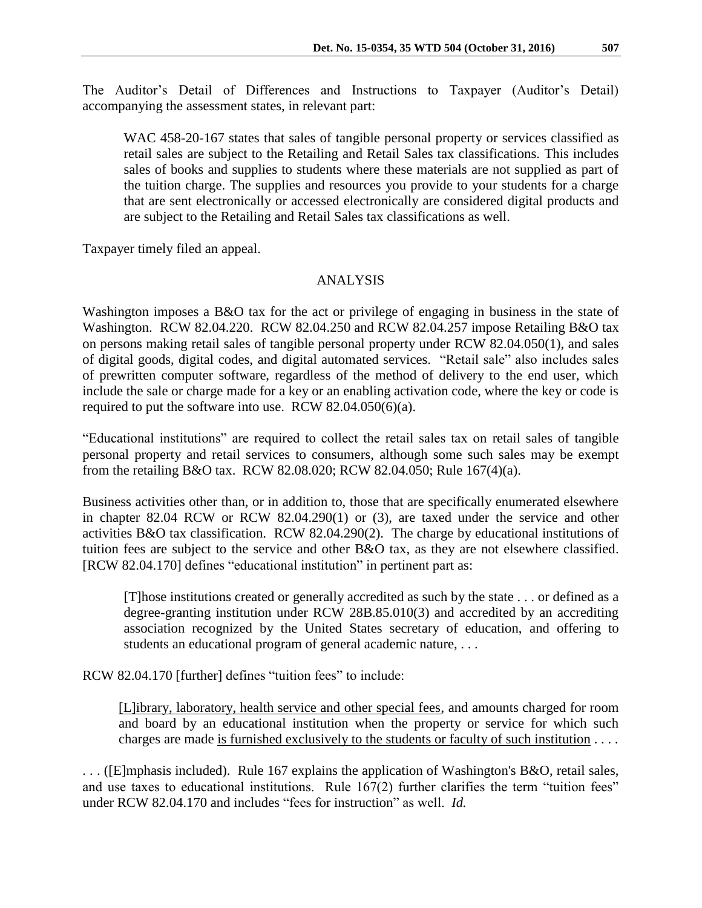The Auditor's Detail of Differences and Instructions to Taxpayer (Auditor's Detail) accompanying the assessment states, in relevant part:

WAC 458-20-167 states that sales of tangible personal property or services classified as retail sales are subject to the Retailing and Retail Sales tax classifications. This includes sales of books and supplies to students where these materials are not supplied as part of the tuition charge. The supplies and resources you provide to your students for a charge that are sent electronically or accessed electronically are considered digital products and are subject to the Retailing and Retail Sales tax classifications as well.

Taxpayer timely filed an appeal.

#### ANALYSIS

Washington imposes a B&O tax for the act or privilege of engaging in business in the state of Washington. RCW 82.04.220. RCW 82.04.250 and RCW 82.04.257 impose Retailing B&O tax on persons making retail sales of tangible personal property under RCW 82.04.050(1), and sales of digital goods, digital codes, and digital automated services. "Retail sale" also includes sales of prewritten computer software, regardless of the method of delivery to the end user, which include the sale or charge made for a key or an enabling activation code, where the key or code is required to put the software into use. RCW 82.04.050(6)(a).

"Educational institutions" are required to collect the retail sales tax on retail sales of tangible personal property and retail services to consumers, although some such sales may be exempt from the retailing B&O tax. RCW 82.08.020; RCW 82.04.050; Rule 167(4)(a).

Business activities other than, or in addition to, those that are specifically enumerated elsewhere in chapter 82.04 RCW or RCW 82.04.290(1) or (3), are taxed under the service and other activities B&O tax classification. RCW 82.04.290(2). The charge by educational institutions of tuition fees are subject to the service and other B&O tax, as they are not elsewhere classified. [RCW 82.04.170] defines "educational institution" in pertinent part as:

[T]hose institutions created or generally accredited as such by the state . . . or defined as a degree-granting institution under RCW 28B.85.010(3) and accredited by an accrediting association recognized by the United States secretary of education, and offering to students an educational program of general academic nature, . . .

RCW 82.04.170 [further] defines "tuition fees" to include:

[L]ibrary, laboratory, health service and other special fees, and amounts charged for room and board by an educational institution when the property or service for which such charges are made is furnished exclusively to the students or faculty of such institution . . . .

. . . ([E]mphasis included). Rule 167 explains the application of Washington's B&O, retail sales, and use taxes to educational institutions. Rule 167(2) further clarifies the term "tuition fees" under RCW 82.04.170 and includes "fees for instruction" as well. *Id.*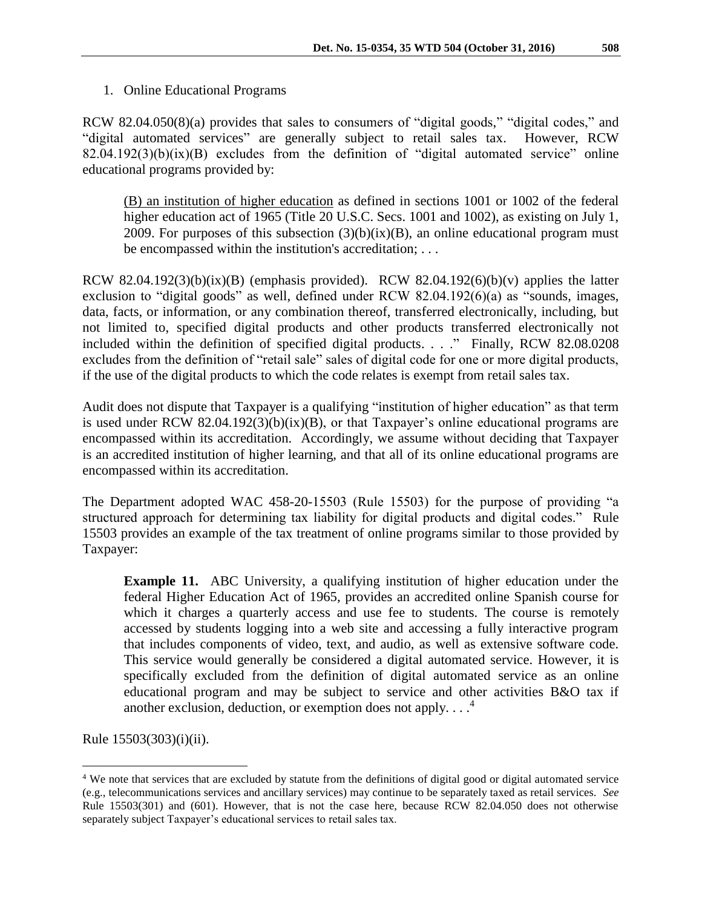RCW 82.04.050(8)(a) provides that sales to consumers of "digital goods," "digital codes," and "digital automated services" are generally subject to retail sales tax. However, RCW  $82.04.192(3)(b)(ix)(B)$  excludes from the definition of "digital automated service" online educational programs provided by:

(B) an institution of higher education as defined in sections 1001 or 1002 of the federal higher education act of 1965 (Title 20 U.S.C. Secs. 1001 and 1002), as existing on July 1, 2009. For purposes of this subsection  $(3)(b)(ix)(B)$ , an online educational program must be encompassed within the institution's accreditation; . . .

RCW 82.04.192(3)(b)(ix)(B) (emphasis provided). RCW 82.04.192(6)(b)(v) applies the latter exclusion to "digital goods" as well, defined under RCW 82.04.192(6)(a) as "sounds, images, data, facts, or information, or any combination thereof, transferred electronically, including, but not limited to, specified digital products and other products transferred electronically not included within the definition of specified digital products. . . ." Finally, RCW 82.08.0208 excludes from the definition of "retail sale" sales of digital code for one or more digital products, if the use of the digital products to which the code relates is exempt from retail sales tax.

Audit does not dispute that Taxpayer is a qualifying "institution of higher education" as that term is used under RCW 82.04.192(3)(b)(ix)(B), or that Taxpayer's online educational programs are encompassed within its accreditation. Accordingly, we assume without deciding that Taxpayer is an accredited institution of higher learning, and that all of its online educational programs are encompassed within its accreditation.

The Department adopted WAC 458-20-15503 (Rule 15503) for the purpose of providing "a structured approach for determining tax liability for digital products and digital codes." Rule 15503 provides an example of the tax treatment of online programs similar to those provided by Taxpayer:

**Example 11.** ABC University, a qualifying institution of higher education under the federal Higher Education Act of 1965, provides an accredited online Spanish course for which it charges a quarterly access and use fee to students. The course is remotely accessed by students logging into a web site and accessing a fully interactive program that includes components of video, text, and audio, as well as extensive software code. This service would generally be considered a digital automated service. However, it is specifically excluded from the definition of digital automated service as an online educational program and may be subject to service and other activities B&O tax if another exclusion, deduction, or exemption does not apply....<sup>4</sup>

Rule 15503(303)(i)(ii).

 $\overline{a}$ 

<sup>4</sup> We note that services that are excluded by statute from the definitions of digital good or digital automated service (e.g., telecommunications services and ancillary services) may continue to be separately taxed as retail services. *See* Rule 15503(301) and (601). However, that is not the case here, because RCW 82.04.050 does not otherwise separately subject Taxpayer's educational services to retail sales tax.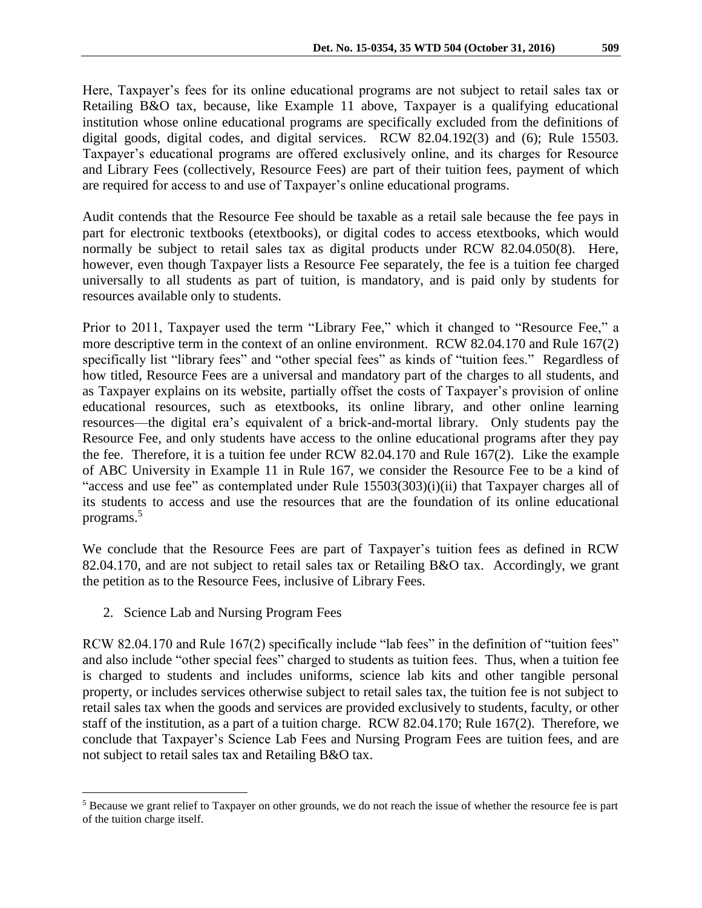Here, Taxpayer's fees for its online educational programs are not subject to retail sales tax or Retailing B&O tax, because, like Example 11 above, Taxpayer is a qualifying educational institution whose online educational programs are specifically excluded from the definitions of digital goods, digital codes, and digital services. RCW 82.04.192(3) and (6); Rule 15503. Taxpayer's educational programs are offered exclusively online, and its charges for Resource and Library Fees (collectively, Resource Fees) are part of their tuition fees, payment of which are required for access to and use of Taxpayer's online educational programs.

Audit contends that the Resource Fee should be taxable as a retail sale because the fee pays in part for electronic textbooks (etextbooks), or digital codes to access etextbooks, which would normally be subject to retail sales tax as digital products under RCW 82.04.050(8). Here, however, even though Taxpayer lists a Resource Fee separately, the fee is a tuition fee charged universally to all students as part of tuition, is mandatory, and is paid only by students for resources available only to students.

Prior to 2011, Taxpayer used the term "Library Fee," which it changed to "Resource Fee," a more descriptive term in the context of an online environment. RCW 82.04.170 and Rule 167(2) specifically list "library fees" and "other special fees" as kinds of "tuition fees." Regardless of how titled, Resource Fees are a universal and mandatory part of the charges to all students, and as Taxpayer explains on its website, partially offset the costs of Taxpayer's provision of online educational resources, such as etextbooks, its online library, and other online learning resources—the digital era's equivalent of a brick-and-mortal library. Only students pay the Resource Fee, and only students have access to the online educational programs after they pay the fee. Therefore, it is a tuition fee under RCW 82.04.170 and Rule 167(2). Like the example of ABC University in Example 11 in Rule 167, we consider the Resource Fee to be a kind of "access and use fee" as contemplated under Rule 15503(303)(i)(ii) that Taxpayer charges all of its students to access and use the resources that are the foundation of its online educational programs.<sup>5</sup>

We conclude that the Resource Fees are part of Taxpayer's tuition fees as defined in RCW 82.04.170, and are not subject to retail sales tax or Retailing B&O tax. Accordingly, we grant the petition as to the Resource Fees, inclusive of Library Fees.

2. Science Lab and Nursing Program Fees

 $\overline{a}$ 

RCW 82.04.170 and Rule 167(2) specifically include "lab fees" in the definition of "tuition fees" and also include "other special fees" charged to students as tuition fees. Thus, when a tuition fee is charged to students and includes uniforms, science lab kits and other tangible personal property, or includes services otherwise subject to retail sales tax, the tuition fee is not subject to retail sales tax when the goods and services are provided exclusively to students, faculty, or other staff of the institution, as a part of a tuition charge. RCW 82.04.170; Rule 167(2). Therefore, we conclude that Taxpayer's Science Lab Fees and Nursing Program Fees are tuition fees, and are not subject to retail sales tax and Retailing B&O tax.

<sup>5</sup> Because we grant relief to Taxpayer on other grounds, we do not reach the issue of whether the resource fee is part of the tuition charge itself.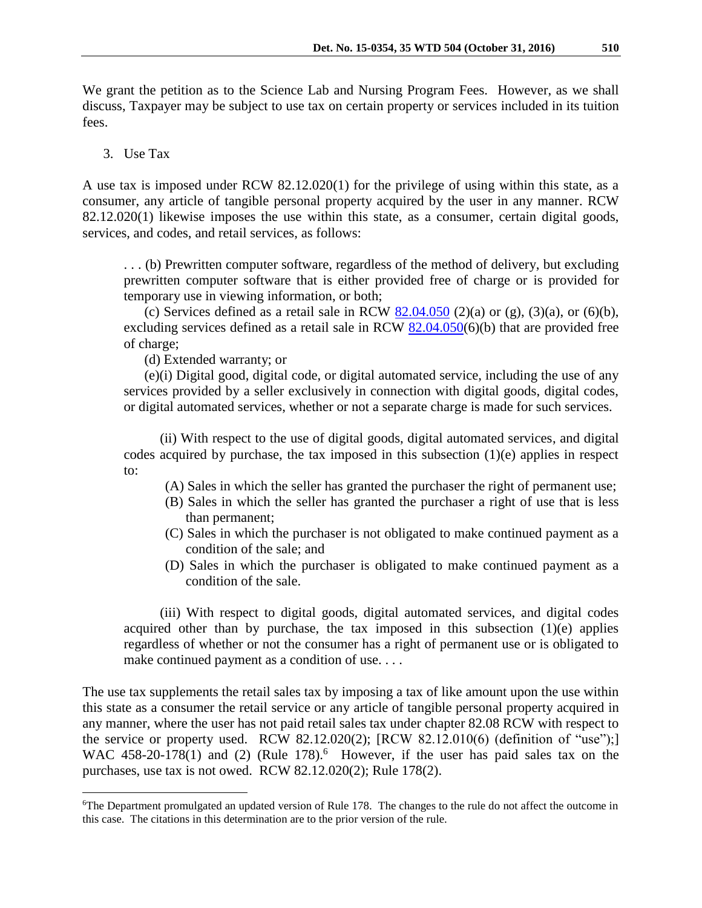We grant the petition as to the Science Lab and Nursing Program Fees. However, as we shall discuss, Taxpayer may be subject to use tax on certain property or services included in its tuition fees.

#### 3. Use Tax

 $\overline{a}$ 

A use tax is imposed under RCW 82.12.020(1) for the privilege of using within this state, as a consumer, any article of tangible personal property acquired by the user in any manner. RCW 82.12.020(1) likewise imposes the use within this state, as a consumer, certain digital goods, services, and codes, and retail services, as follows:

. . . (b) Prewritten computer software, regardless of the method of delivery, but excluding prewritten computer software that is either provided free of charge or is provided for temporary use in viewing information, or both;

(c) Services defined as a retail sale in RCW  $82.04.050$  (2)(a) or (g), (3)(a), or (6)(b), excluding services defined as a retail sale in RCW [82.04.050\(](http://app.leg.wa.gov/RCW/default.aspx?cite=82.04.050)6)(b) that are provided free of charge;

(d) Extended warranty; or

(e)(i) Digital good, digital code, or digital automated service, including the use of any services provided by a seller exclusively in connection with digital goods, digital codes, or digital automated services, whether or not a separate charge is made for such services.

(ii) With respect to the use of digital goods, digital automated services, and digital codes acquired by purchase, the tax imposed in this subsection (1)(e) applies in respect to:

- (A) Sales in which the seller has granted the purchaser the right of permanent use;
- (B) Sales in which the seller has granted the purchaser a right of use that is less than permanent;
- (C) Sales in which the purchaser is not obligated to make continued payment as a condition of the sale; and
- (D) Sales in which the purchaser is obligated to make continued payment as a condition of the sale.

(iii) With respect to digital goods, digital automated services, and digital codes acquired other than by purchase, the tax imposed in this subsection  $(1)(e)$  applies regardless of whether or not the consumer has a right of permanent use or is obligated to make continued payment as a condition of use....

The use tax supplements the retail sales tax by imposing a tax of like amount upon the use within this state as a consumer the retail service or any article of tangible personal property acquired in any manner, where the user has not paid retail sales tax under chapter 82.08 RCW with respect to the service or property used. RCW 82.12.020(2); [RCW 82.12.010(6) (definition of "use");] WAC 458-20-178(1) and (2) (Rule 178).<sup>6</sup> However, if the user has paid sales tax on the purchases, use tax is not owed. RCW 82.12.020(2); Rule 178(2).

<sup>&</sup>lt;sup>6</sup>The Department promulgated an updated version of Rule 178. The changes to the rule do not affect the outcome in this case. The citations in this determination are to the prior version of the rule.